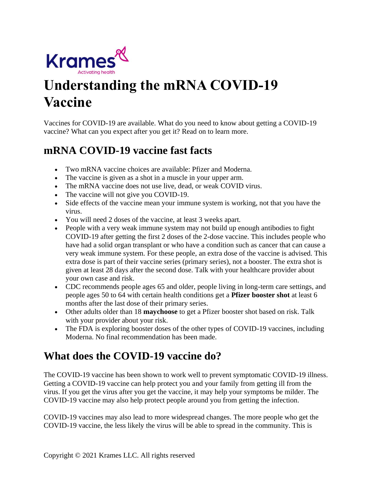

# **Understanding the mRNA COVID-19 Vaccine**

Vaccines for COVID-19 are available. What do you need to know about getting a COVID-19 vaccine? What can you expect after you get it? Read on to learn more.

## **mRNA COVID-19 vaccine fast facts**

- Two mRNA vaccine choices are available: Pfizer and Moderna.
- The vaccine is given as a shot in a muscle in your upper arm.
- The mRNA vaccine does not use live, dead, or weak COVID virus.
- The vaccine will not give you COVID-19.
- Side effects of the vaccine mean your immune system is working, not that you have the virus.
- You will need 2 doses of the vaccine, at least 3 weeks apart.
- People with a very weak immune system may not build up enough antibodies to fight COVID-19 after getting the first 2 doses of the 2-dose vaccine. This includes people who have had a solid organ transplant or who have a condition such as cancer that can cause a very weak immune system. For these people, an extra dose of the vaccine is advised. This extra dose is part of their vaccine series (primary series), not a booster. The extra shot is given at least 28 days after the second dose. Talk with your healthcare provider about your own case and risk.
- CDC recommends people ages 65 and older, people living in long-term care settings, and people ages 50 to 64 with certain health conditions get a **Pfizer booster shot** at least 6 months after the last dose of their primary series.
- Other adults older than 18 **maychoose** to get a Pfizer booster shot based on risk. Talk with your provider about your risk.
- The FDA is exploring booster doses of the other types of COVID-19 vaccines, including Moderna. No final recommendation has been made.

# **What does the COVID-19 vaccine do?**

The COVID-19 vaccine has been shown to work well to prevent symptomatic COVID-19 illness. Getting a COVID-19 vaccine can help protect you and your family from getting ill from the virus. If you get the virus after you get the vaccine, it may help your symptoms be milder. The COVID-19 vaccine may also help protect people around you from getting the infection.

COVID-19 vaccines may also lead to more widespread changes. The more people who get the COVID-19 vaccine, the less likely the virus will be able to spread in the community. This is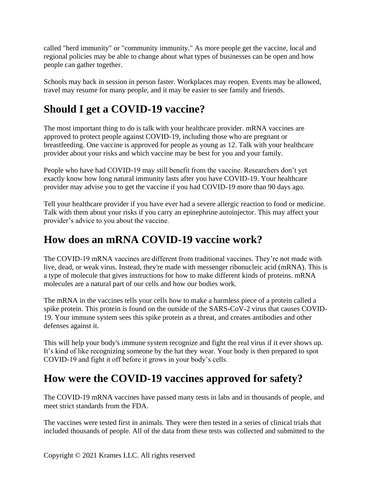called "herd immunity" or "community immunity." As more people get the vaccine, local and regional policies may be able to change about what types of businesses can be open and how people can gather together.

Schools may back in session in person faster. Workplaces may reopen. Events may be allowed, travel may resume for many people, and it may be easier to see family and friends.

# **Should I get a COVID-19 vaccine?**

The most important thing to do is talk with your healthcare provider. mRNA vaccines are approved to protect people against COVID-19, including those who are pregnant or breastfeeding. One vaccine is approved for people as young as 12. Talk with your healthcare provider about your risks and which vaccine may be best for you and your family.

People who have had COVID-19 may still benefit from the vaccine. Researchers don't yet exactly know how long natural immunity lasts after you have COVID-19. Your healthcare provider may advise you to get the vaccine if you had COVID-19 more than 90 days ago.

Tell your healthcare provider if you have ever had a severe allergic reaction to food or medicine. Talk with them about your risks if you carry an epinephrine autoinjector. This may affect your provider's advice to you about the vaccine.

# **How does an mRNA COVID-19 vaccine work?**

The COVID-19 mRNA vaccines are different from traditional vaccines. They're not made with live, dead, or weak virus. Instead, they're made with messenger ribonucleic acid (mRNA). This is a type of molecule that gives instructions for how to make different kinds of proteins. mRNA molecules are a natural part of our cells and how our bodies work.

The mRNA in the vaccines tells your cells how to make a harmless piece of a protein called a spike protein. This protein is found on the outside of the SARS-CoV-2 virus that causes COVID-19. Your immune system sees this spike protein as a threat, and creates antibodies and other defenses against it.

This will help your body's immune system recognize and fight the real virus if it ever shows up. It's kind of like recognizing someone by the hat they wear. Your body is then prepared to spot COVID-19 and fight it off before it grows in your body's cells.

# **How were the COVID-19 vaccines approved for safety?**

The COVID-19 mRNA vaccines have passed many tests in labs and in thousands of people, and meet strict standards from the FDA.

The vaccines were tested first in animals. They were then tested in a series of clinical trials that included thousands of people. All of the data from these tests was collected and submitted to the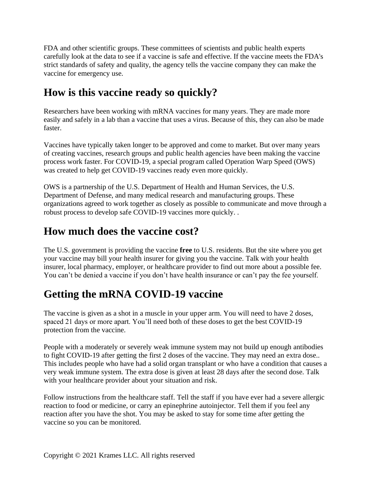FDA and other scientific groups. These committees of scientists and public health experts carefully look at the data to see if a vaccine is safe and effective. If the vaccine meets the FDA's strict standards of safety and quality, the agency tells the vaccine company they can make the vaccine for emergency use.

# **How is this vaccine ready so quickly?**

Researchers have been working with mRNA vaccines for many years. They are made more easily and safely in a lab than a vaccine that uses a virus. Because of this, they can also be made faster.

Vaccines have typically taken longer to be approved and come to market. But over many years of creating vaccines, research groups and public health agencies have been making the vaccine process work faster. For COVID-19, a special program called Operation Warp Speed (OWS) was created to help get COVID-19 vaccines ready even more quickly.

OWS is a partnership of the U.S. Department of Health and Human Services, the U.S. Department of Defense, and many medical research and manufacturing groups. These organizations agreed to work together as closely as possible to communicate and move through a robust process to develop safe COVID-19 vaccines more quickly. .

# **How much does the vaccine cost?**

The U.S. government is providing the vaccine **free** to U.S. residents. But the site where you get your vaccine may bill your health insurer for giving you the vaccine. Talk with your health insurer, local pharmacy, employer, or healthcare provider to find out more about a possible fee. You can't be denied a vaccine if you don't have health insurance or can't pay the fee yourself.

# **Getting the mRNA COVID-19 vaccine**

The vaccine is given as a shot in a muscle in your upper arm. You will need to have 2 doses, spaced 21 days or more apart. You'll need both of these doses to get the best COVID-19 protection from the vaccine.

People with a moderately or severely weak immune system may not build up enough antibodies to fight COVID-19 after getting the first 2 doses of the vaccine. They may need an extra dose.. This includes people who have had a solid organ transplant or who have a condition that causes a very weak immune system. The extra dose is given at least 28 days after the second dose. Talk with your healthcare provider about your situation and risk.

Follow instructions from the healthcare staff. Tell the staff if you have ever had a severe allergic reaction to food or medicine, or carry an epinephrine autoinjector. Tell them if you feel any reaction after you have the shot. You may be asked to stay for some time after getting the vaccine so you can be monitored.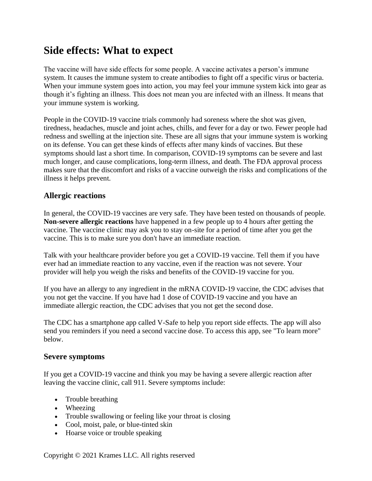## **Side effects: What to expect**

The vaccine will have side effects for some people. A vaccine activates a person's immune system. It causes the immune system to create antibodies to fight off a specific virus or bacteria. When your immune system goes into action, you may feel your immune system kick into gear as though it's fighting an illness. This does not mean you are infected with an illness. It means that your immune system is working.

People in the COVID-19 vaccine trials commonly had soreness where the shot was given, tiredness, headaches, muscle and joint aches, chills, and fever for a day or two. Fewer people had redness and swelling at the injection site. These are all signs that your immune system is working on its defense. You can get these kinds of effects after many kinds of vaccines. But these symptoms should last a short time. In comparison, COVID-19 symptoms can be severe and last much longer, and cause complications, long-term illness, and death. The FDA approval process makes sure that the discomfort and risks of a vaccine outweigh the risks and complications of the illness it helps prevent.

#### **Allergic reactions**

In general, the COVID-19 vaccines are very safe. They have been tested on thousands of people. **Non-severe allergic reactions** have happened in a few people up to 4 hours after getting the vaccine. The vaccine clinic may ask you to stay on-site for a period of time after you get the vaccine. This is to make sure you don't have an immediate reaction.

Talk with your healthcare provider before you get a COVID-19 vaccine. Tell them if you have ever had an immediate reaction to any vaccine, even if the reaction was not severe. Your provider will help you weigh the risks and benefits of the COVID-19 vaccine for you.

If you have an allergy to any ingredient in the mRNA COVID-19 vaccine, the CDC advises that you not get the vaccine. If you have had 1 dose of COVID-19 vaccine and you have an immediate allergic reaction, the CDC advises that you not get the second dose.

The CDC has a smartphone app called V-Safe to help you report side effects. The app will also send you reminders if you need a second vaccine dose. To access this app, see "To learn more" below.

#### **Severe symptoms**

If you get a COVID-19 vaccine and think you may be having a severe allergic reaction after leaving the vaccine clinic, call 911. Severe symptoms include:

- Trouble breathing
- Wheezing
- Trouble swallowing or feeling like your throat is closing
- Cool, moist, pale, or blue-tinted skin
- Hoarse voice or trouble speaking